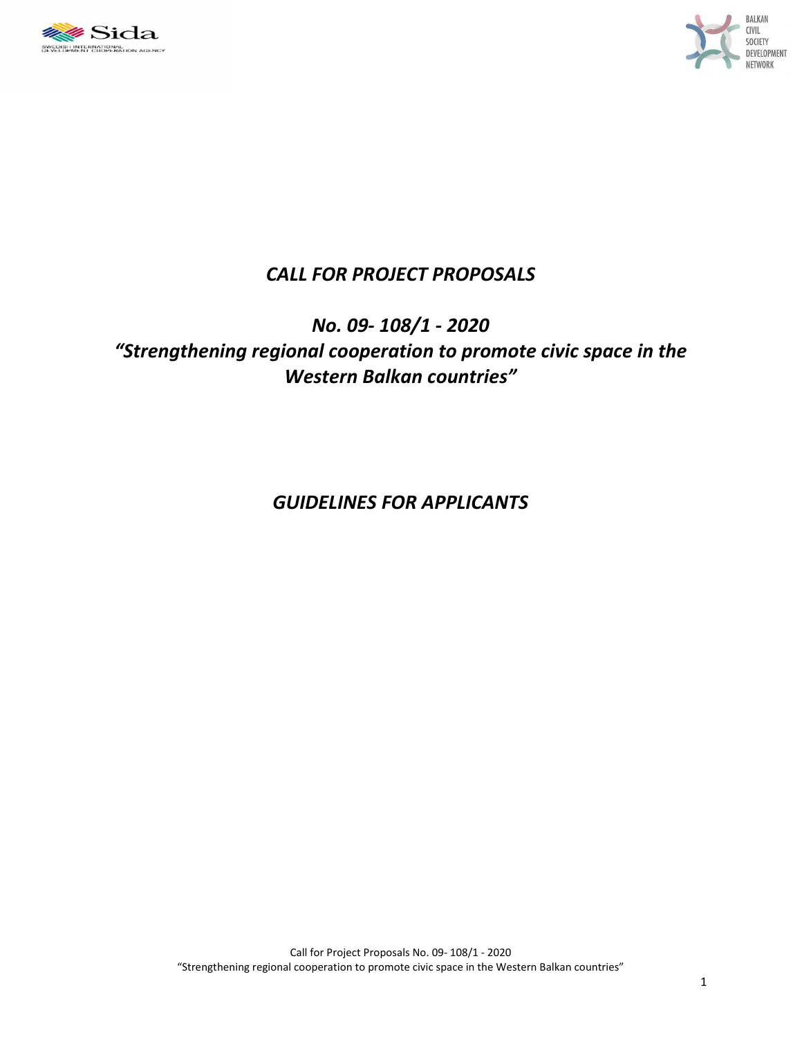



# *CALL FOR PROJECT PROPOSALS*

# *No. 09- 108/1 - 2020 "Strengthening regional cooperation to promote civic space in the Western Balkan countries"*

*GUIDELINES FOR APPLICANTS*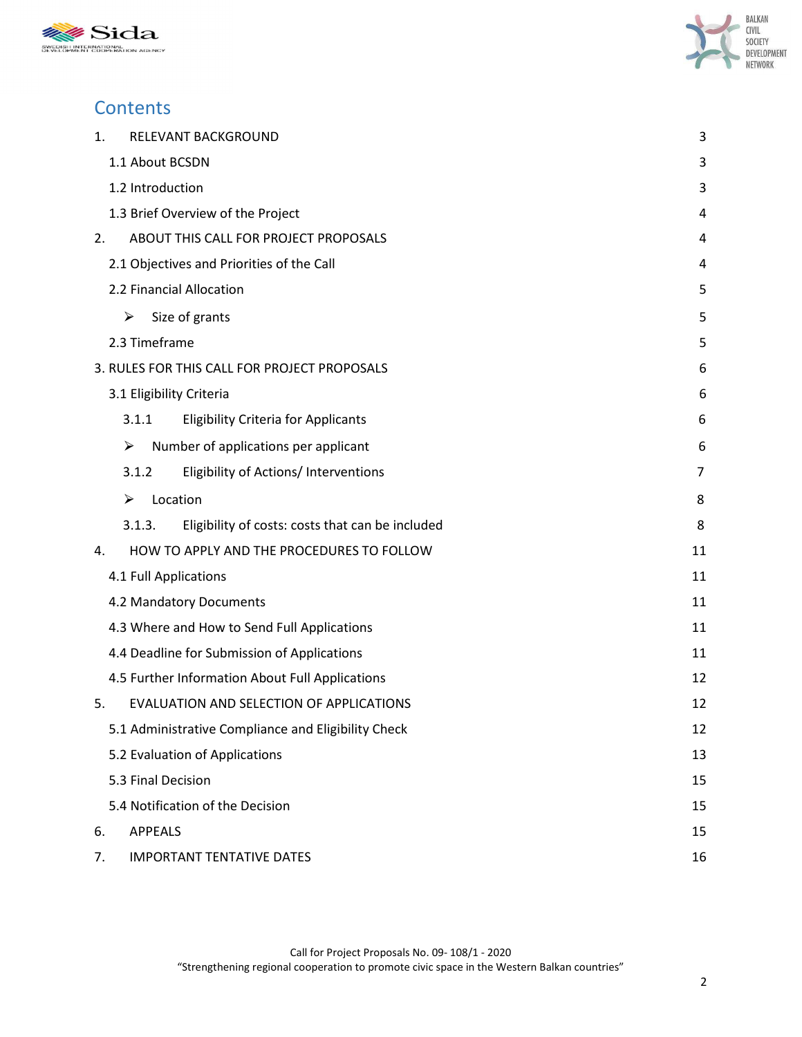



# **Contents**

| 1. | RELEVANT BACKGROUND                                        | 3  |
|----|------------------------------------------------------------|----|
|    | 1.1 About BCSDN                                            | 3  |
|    | 1.2 Introduction                                           | 3  |
|    | 1.3 Brief Overview of the Project                          | 4  |
| 2. | ABOUT THIS CALL FOR PROJECT PROPOSALS                      | 4  |
|    | 2.1 Objectives and Priorities of the Call                  | 4  |
|    | 2.2 Financial Allocation                                   | 5  |
|    | ➤<br>Size of grants                                        | 5  |
|    | 2.3 Timeframe                                              | 5  |
|    | 3. RULES FOR THIS CALL FOR PROJECT PROPOSALS               | 6  |
|    | 3.1 Eligibility Criteria                                   | 6  |
|    | 3.1.1<br><b>Eligibility Criteria for Applicants</b>        | 6  |
|    | Number of applications per applicant<br>➤                  | 6  |
|    | 3.1.2<br>Eligibility of Actions/ Interventions             | 7  |
|    | Location<br>➤                                              | 8  |
|    | 3.1.3.<br>Eligibility of costs: costs that can be included | 8  |
| 4. | HOW TO APPLY AND THE PROCEDURES TO FOLLOW                  | 11 |
|    | 4.1 Full Applications                                      | 11 |
|    | 4.2 Mandatory Documents                                    | 11 |
|    | 4.3 Where and How to Send Full Applications                | 11 |
|    | 4.4 Deadline for Submission of Applications                | 11 |
|    | 4.5 Further Information About Full Applications            | 12 |
| 5. | EVALUATION AND SELECTION OF APPLICATIONS                   | 12 |
|    | 5.1 Administrative Compliance and Eligibility Check        | 12 |
|    | 5.2 Evaluation of Applications                             | 13 |
|    | 5.3 Final Decision                                         | 15 |
|    | 5.4 Notification of the Decision                           | 15 |
| 6. | <b>APPEALS</b>                                             | 15 |
| 7. | <b>IMPORTANT TENTATIVE DATES</b>                           | 16 |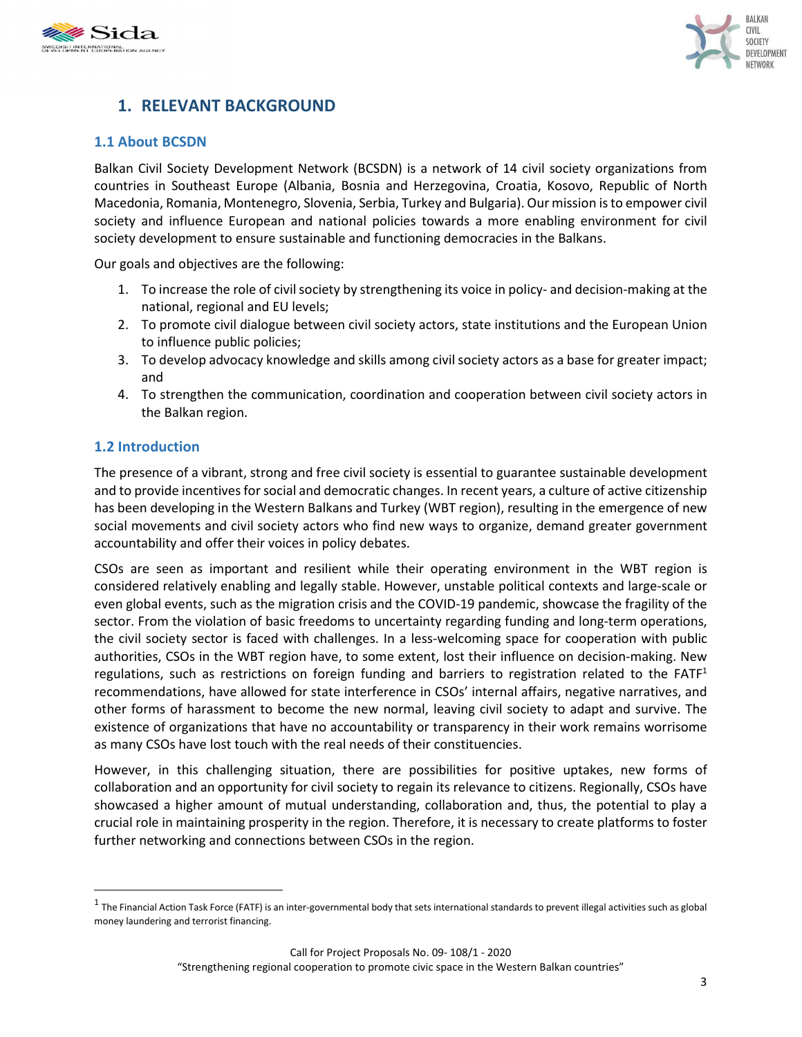



# **1. RELEVANT BACKGROUND**

### **1.1 About BCSDN**

Balkan Civil Society Development Network (BCSDN) is a network of 14 civil society organizations from countries in Southeast Europe (Albania, Bosnia and Herzegovina, Croatia, Kosovo, Republic of North Macedonia, Romania, Montenegro, Slovenia, Serbia, Turkey and Bulgaria). Our mission is to empower civil society and influence European and national policies towards a more enabling environment for civil society development to ensure sustainable and functioning democracies in the Balkans.

Our goals and objectives are the following:

- 1. To increase the role of civil society by strengthening its voice in policy- and decision-making at the national, regional and EU levels;
- 2. To promote civil dialogue between civil society actors, state institutions and the European Union to influence public policies;
- 3. To develop advocacy knowledge and skills among civil society actors as a base for greater impact; and
- 4. To strengthen the communication, coordination and cooperation between civil society actors in the Balkan region.

### **1.2 Introduction**

 $\overline{a}$ 

The presence of a vibrant, strong and free civil society is essential to guarantee sustainable development and to provide incentives for social and democratic changes. In recent years, a culture of active citizenship has been developing in the Western Balkans and Turkey (WBT region), resulting in the emergence of new social movements and civil society actors who find new ways to organize, demand greater government accountability and offer their voices in policy debates.

CSOs are seen as important and resilient while their operating environment in the WBT region is considered relatively enabling and legally stable. However, unstable political contexts and large-scale or even global events, such as the migration crisis and the COVID-19 pandemic, showcase the fragility of the sector. From the violation of basic freedoms to uncertainty regarding funding and long-term operations, the civil society sector is faced with challenges. In a less-welcoming space for cooperation with public authorities, CSOs in the WBT region have, to some extent, lost their influence on decision-making. New regulations, such as restrictions on foreign funding and barriers to registration related to the FATF<sup>1</sup> recommendations, have allowed for state interference in CSOs' internal affairs, negative narratives, and other forms of harassment to become the new normal, leaving civil society to adapt and survive. The existence of organizations that have no accountability or transparency in their work remains worrisome as many CSOs have lost touch with the real needs of their constituencies.

However, in this challenging situation, there are possibilities for positive uptakes, new forms of collaboration and an opportunity for civil society to regain its relevance to citizens. Regionally, CSOs have showcased a higher amount of mutual understanding, collaboration and, thus, the potential to play a crucial role in maintaining prosperity in the region. Therefore, it is necessary to create platforms to foster further networking and connections between CSOs in the region.

 $^1$  The Financial Action Task Force (FATF) is an inter-governmental body that sets international standards to prevent illegal activities such as global money laundering and terrorist financing.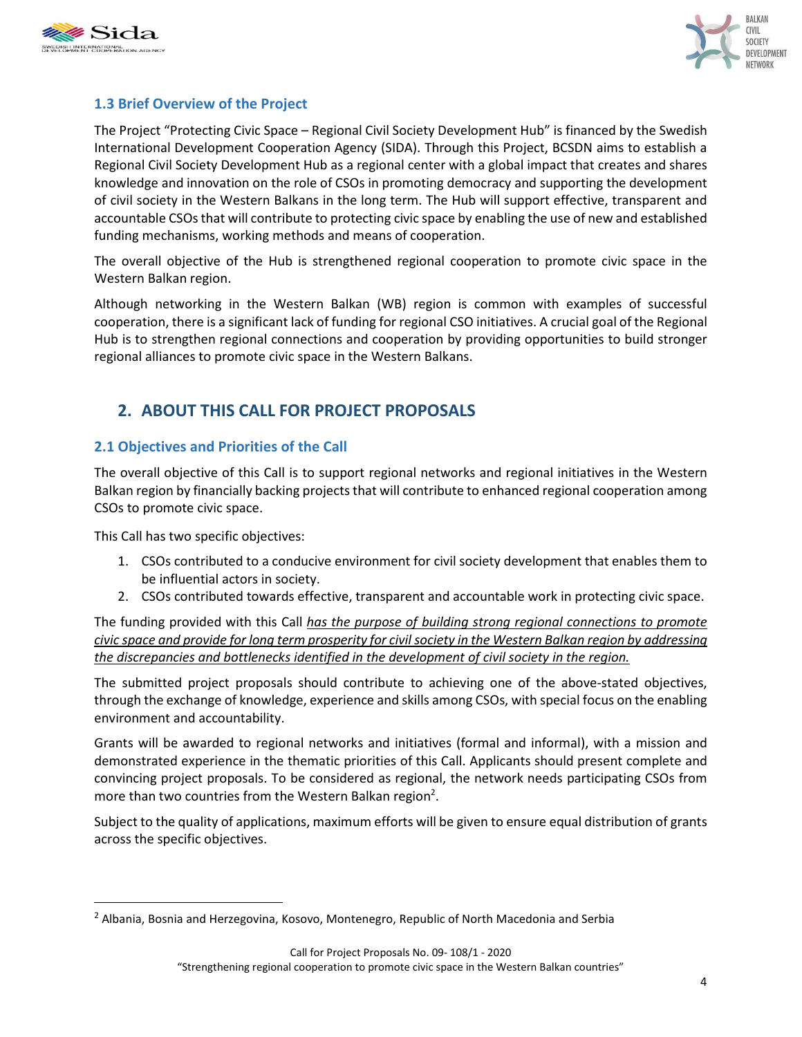



# **1.3 Brief Overview of the Project**

The Project "Protecting Civic Space – Regional Civil Society Development Hub" is financed by the Swedish International Development Cooperation Agency (SIDA). Through this Project, BCSDN aims to establish a Regional Civil Society Development Hub as a regional center with a global impact that creates and shares knowledge and innovation on the role of CSOs in promoting democracy and supporting the development of civil society in the Western Balkans in the long term. The Hub will support effective, transparent and accountable CSOs that will contribute to protecting civic space by enabling the use of new and established funding mechanisms, working methods and means of cooperation.

The overall objective of the Hub is strengthened regional cooperation to promote civic space in the Western Balkan region.

Although networking in the Western Balkan (WB) region is common with examples of successful cooperation, there is a significant lack of funding for regional CSO initiatives. A crucial goal of the Regional Hub is to strengthen regional connections and cooperation by providing opportunities to build stronger regional alliances to promote civic space in the Western Balkans.

# **2. ABOUT THIS CALL FOR PROJECT PROPOSALS**

## **2.1 Objectives and Priorities of the Call**

The overall objective of this Call is to support regional networks and regional initiatives in the Western Balkan region by financially backing projects that will contribute to enhanced regional cooperation among CSOs to promote civic space.

This Call has two specific objectives:

 $\overline{a}$ 

- 1. CSOs contributed to a conducive environment for civil society development that enables them to be influential actors in society.
- 2. CSOs contributed towards effective, transparent and accountable work in protecting civic space.

The funding provided with this Call *has the purpose of building strong regional connections to promote civic space and provide for long term prosperity for civil society in the Western Balkan region by addressing the discrepancies and bottlenecks identified in the development of civil society in the region.* 

The submitted project proposals should contribute to achieving one of the above-stated objectives, through the exchange of knowledge, experience and skills among CSOs, with special focus on the enabling environment and accountability.

Grants will be awarded to regional networks and initiatives (formal and informal), with a mission and demonstrated experience in the thematic priorities of this Call. Applicants should present complete and convincing project proposals. To be considered as regional, the network needs participating CSOs from more than two countries from the Western Balkan region<sup>2</sup>.

Subject to the quality of applications, maximum efforts will be given to ensure equal distribution of grants across the specific objectives.

<sup>&</sup>lt;sup>2</sup> Albania, Bosnia and Herzegovina, Kosovo, Montenegro, Republic of North Macedonia and Serbia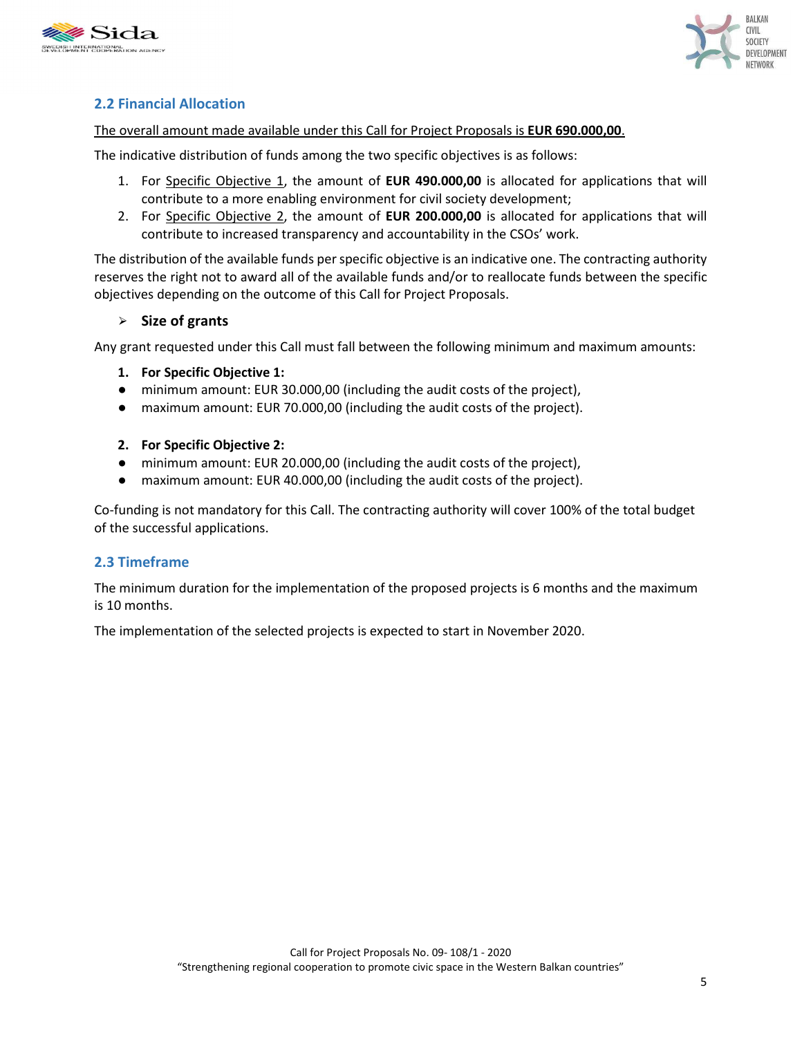



# **2.2 Financial Allocation**

### The overall amount made available under this Call for Project Proposals is **EUR 690.000,00**.

The indicative distribution of funds among the two specific objectives is as follows:

- 1. For Specific Objective 1, the amount of **EUR 490.000,00** is allocated for applications that will contribute to a more enabling environment for civil society development;
- 2. For Specific Objective 2, the amount of **EUR 200.000,00** is allocated for applications that will contribute to increased transparency and accountability in the CSOs' work.

The distribution of the available funds per specific objective is an indicative one. The contracting authority reserves the right not to award all of the available funds and/or to reallocate funds between the specific objectives depending on the outcome of this Call for Project Proposals.

### ⮚ **Size of grants**

Any grant requested under this Call must fall between the following minimum and maximum amounts:

- **1. For Specific Objective 1:**
- minimum amount: EUR 30.000,00 (including the audit costs of the project),
- maximum amount: EUR 70.000,00 (including the audit costs of the project).
- **2. For Specific Objective 2:**
- minimum amount: EUR 20.000,00 (including the audit costs of the project),
- maximum amount: EUR 40.000,00 (including the audit costs of the project).

Co-funding is not mandatory for this Call. The contracting authority will cover 100% of the total budget of the successful applications.

### **2.3 Timeframe**

The minimum duration for the implementation of the proposed projects is 6 months and the maximum is 10 months.

The implementation of the selected projects is expected to start in November 2020.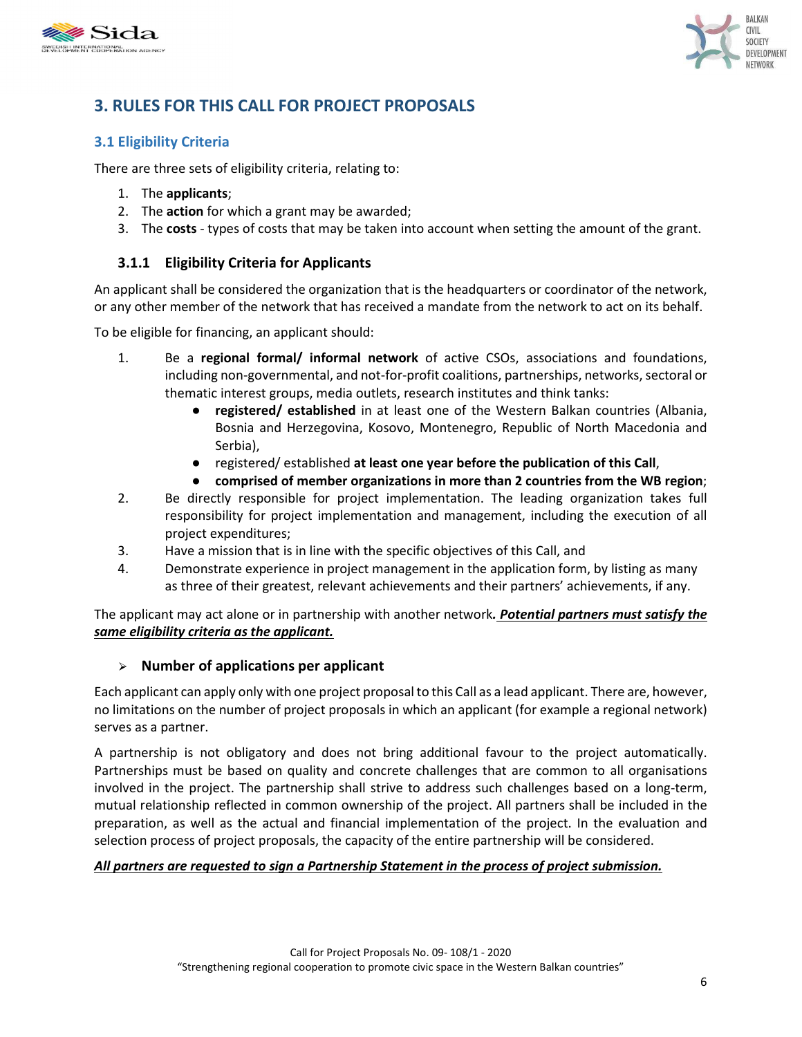



# **3. RULES FOR THIS CALL FOR PROJECT PROPOSALS**

# **3.1 Eligibility Criteria**

There are three sets of eligibility criteria, relating to:

- 1. The **applicants**;
- 2. The **action** for which a grant may be awarded;
- 3. The **costs**  types of costs that may be taken into account when setting the amount of the grant.

# **3.1.1 Eligibility Criteria for Applicants**

An applicant shall be considered the organization that is the headquarters or coordinator of the network, or any other member of the network that has received a mandate from the network to act on its behalf.

To be eligible for financing, an applicant should:

- 1. Be a **regional formal/ informal network** of active CSOs, associations and foundations, including non-governmental, and not-for-profit coalitions, partnerships, networks, sectoral or thematic interest groups, media outlets, research institutes and think tanks:
	- **registered/ established** in at least one of the Western Balkan countries (Albania, Bosnia and Herzegovina, Kosovo, Montenegro, Republic of North Macedonia and Serbia),
	- registered/ established **at least one year before the publication of this Call**,
	- **comprised of member organizations in more than 2 countries from the WB region**;
- 2. Be directly responsible for project implementation. The leading organization takes full responsibility for project implementation and management, including the execution of all project expenditures;
- 3. Have a mission that is in line with the specific objectives of this Call, and
- 4. Demonstrate experience in project management in the application form, by listing as many as three of their greatest, relevant achievements and their partners' achievements, if any.

The applicant may act alone or in partnership with another network*. Potential partners must satisfy the same eligibility criteria as the applicant.* 

### ⮚ **Number of applications per applicant**

Each applicant can apply only with one project proposal to this Call as a lead applicant. There are, however, no limitations on the number of project proposals in which an applicant (for example a regional network) serves as a partner.

A partnership is not obligatory and does not bring additional favour to the project automatically. Partnerships must be based on quality and concrete challenges that are common to all organisations involved in the project. The partnership shall strive to address such challenges based on a long-term, mutual relationship reflected in common ownership of the project. All partners shall be included in the preparation, as well as the actual and financial implementation of the project. In the evaluation and selection process of project proposals, the capacity of the entire partnership will be considered.

### *All partners are requested to sign a Partnership Statement in the process of project submission.*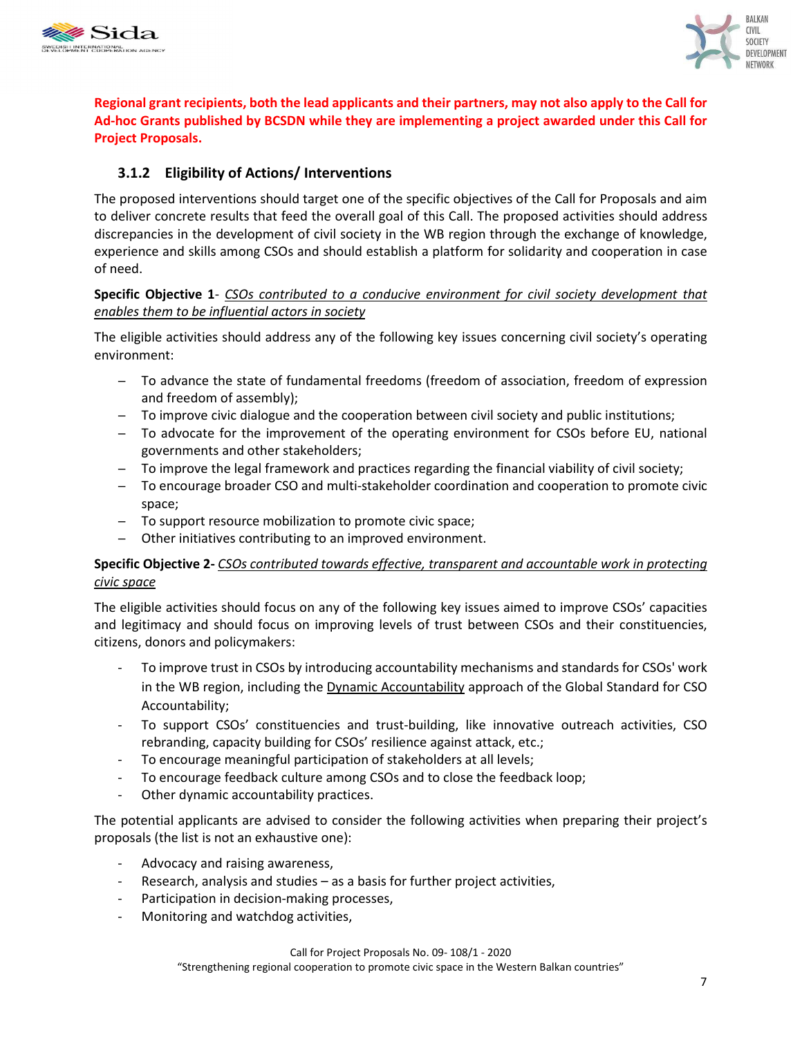



**Regional grant recipients, both the lead applicants and their partners, may not also apply to the Call for Ad-hoc Grants published by BCSDN while they are implementing a project awarded under this Call for Project Proposals.** 

# **3.1.2 Eligibility of Actions/ Interventions**

The proposed interventions should target one of the specific objectives of the Call for Proposals and aim to deliver concrete results that feed the overall goal of this Call. The proposed activities should address discrepancies in the development of civil society in the WB region through the exchange of knowledge, experience and skills among CSOs and should establish a platform for solidarity and cooperation in case of need.

### **Specific Objective 1**- *CSOs contributed to a conducive environment for civil society development that enables them to be influential actors in society*

The eligible activities should address any of the following key issues concerning civil society's operating environment:

- − To advance the state of fundamental freedoms (freedom of association, freedom of expression and freedom of assembly);
- − To improve civic dialogue and the cooperation between civil society and public institutions;
- − To advocate for the improvement of the operating environment for CSOs before EU, national governments and other stakeholders;
- − To improve the legal framework and practices regarding the financial viability of civil society;
- − To encourage broader CSO and multi-stakeholder coordination and cooperation to promote civic space;
- − To support resource mobilization to promote civic space;
- − Other initiatives contributing to an improved environment.

### **Specific Objective 2-** *CSOs contributed towards effective, transparent and accountable work in protecting civic space*

The eligible activities should focus on any of the following key issues aimed to improve CSOs' capacities and legitimacy and should focus on improving levels of trust between CSOs and their constituencies, citizens, donors and policymakers:

- To improve trust in CSOs by introducing accountability mechanisms and standards for CSOs' work in the WB region, including the Dynamic Accountability approach of the Global Standard for CSO Accountability;
- To support CSOs' constituencies and trust-building, like innovative outreach activities, CSO rebranding, capacity building for CSOs' resilience against attack, etc.;
- To encourage meaningful participation of stakeholders at all levels;
- To encourage feedback culture among CSOs and to close the feedback loop;
- Other dynamic accountability practices.

The potential applicants are advised to consider the following activities when preparing their project's proposals (the list is not an exhaustive one):

- Advocacy and raising awareness,
- Research, analysis and studies  $-$  as a basis for further project activities,
- Participation in decision-making processes,
- Monitoring and watchdog activities,

"Strengthening regional cooperation to promote civic space in the Western Balkan countries"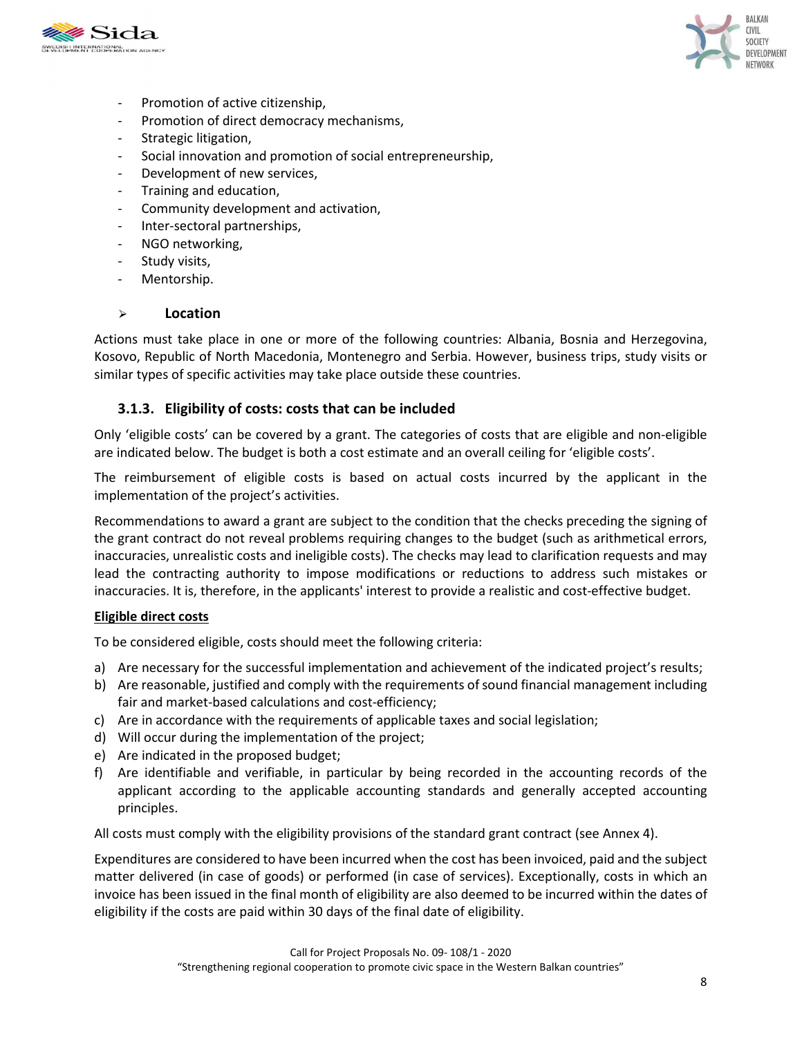



- Promotion of active citizenship,
- Promotion of direct democracy mechanisms,
- Strategic litigation,
- Social innovation and promotion of social entrepreneurship,
- Development of new services,
- Training and education,
- Community development and activation,
- Inter-sectoral partnerships,
- NGO networking,
- Study visits,
- Mentorship.

#### ⮚ **Location**

Actions must take place in one or more of the following countries: Albania, Bosnia and Herzegovina, Kosovo, Republic of North Macedonia, Montenegro and Serbia. However, business trips, study visits or similar types of specific activities may take place outside these countries.

### **3.1.3. Eligibility of costs: costs that can be included**

Only 'eligible costs' can be covered by a grant. The categories of costs that are eligible and non-eligible are indicated below. The budget is both a cost estimate and an overall ceiling for 'eligible costs'.

The reimbursement of eligible costs is based on actual costs incurred by the applicant in the implementation of the project's activities.

Recommendations to award a grant are subject to the condition that the checks preceding the signing of the grant contract do not reveal problems requiring changes to the budget (such as arithmetical errors, inaccuracies, unrealistic costs and ineligible costs). The checks may lead to clarification requests and may lead the contracting authority to impose modifications or reductions to address such mistakes or inaccuracies. It is, therefore, in the applicants' interest to provide a realistic and cost-effective budget.

#### **Eligible direct costs**

To be considered eligible, costs should meet the following criteria:

- a) Are necessary for the successful implementation and achievement of the indicated project's results;
- b) Are reasonable, justified and comply with the requirements of sound financial management including fair and market-based calculations and cost-efficiency;
- c) Are in accordance with the requirements of applicable taxes and social legislation;
- d) Will occur during the implementation of the project;
- e) Are indicated in the proposed budget;
- f) Are identifiable and verifiable, in particular by being recorded in the accounting records of the applicant according to the applicable accounting standards and generally accepted accounting principles.

All costs must comply with the eligibility provisions of the standard grant contract (see Annex 4).

Expenditures are considered to have been incurred when the cost has been invoiced, paid and the subject matter delivered (in case of goods) or performed (in case of services). Exceptionally, costs in which an invoice has been issued in the final month of eligibility are also deemed to be incurred within the dates of eligibility if the costs are paid within 30 days of the final date of eligibility.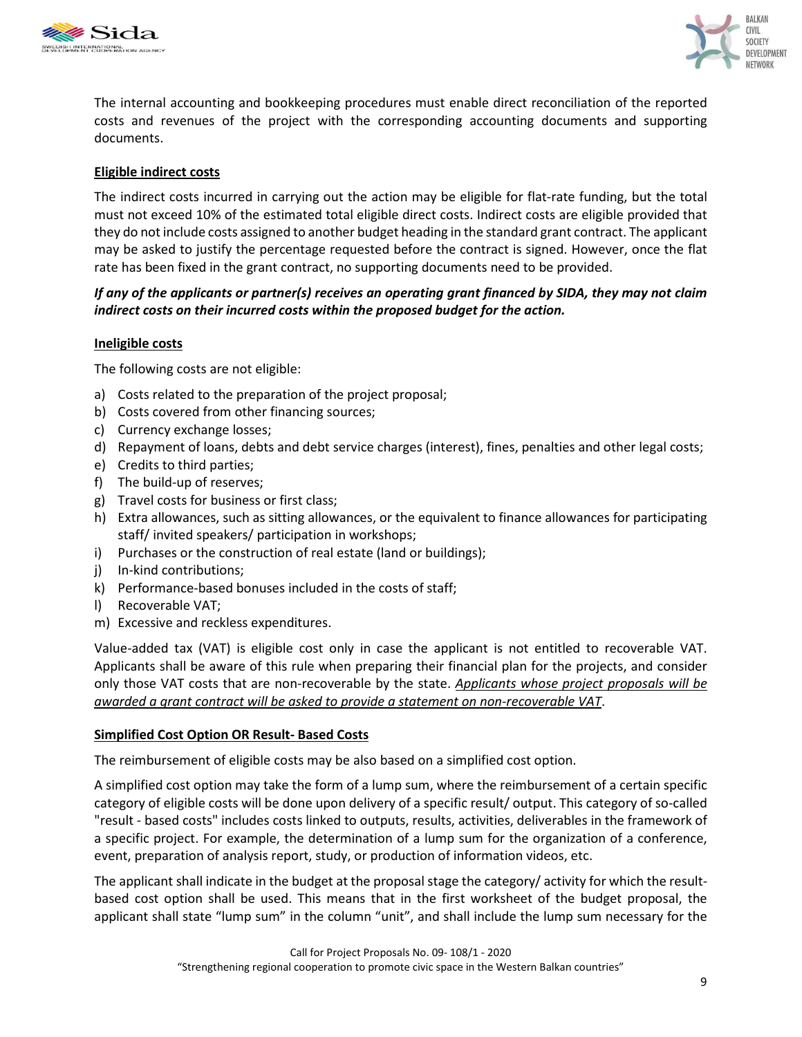



The internal accounting and bookkeeping procedures must enable direct reconciliation of the reported costs and revenues of the project with the corresponding accounting documents and supporting documents.

### **Eligible indirect costs**

The indirect costs incurred in carrying out the action may be eligible for flat-rate funding, but the total must not exceed 10% of the estimated total eligible direct costs. Indirect costs are eligible provided that they do not include costs assigned to another budget heading in the standard grant contract. The applicant may be asked to justify the percentage requested before the contract is signed. However, once the flat rate has been fixed in the grant contract, no supporting documents need to be provided.

### *If any of the applicants or partner(s) receives an operating grant financed by SIDA, they may not claim indirect costs on their incurred costs within the proposed budget for the action.*

### **Ineligible costs**

The following costs are not eligible:

- a) Costs related to the preparation of the project proposal;
- b) Costs covered from other financing sources;
- c) Currency exchange losses;
- d) Repayment of loans, debts and debt service charges (interest), fines, penalties and other legal costs;
- e) Credits to third parties;
- f) The build-up of reserves;
- g) Travel costs for business or first class;
- h) Extra allowances, such as sitting allowances, or the equivalent to finance allowances for participating staff/ invited speakers/ participation in workshops;
- i) Purchases or the construction of real estate (land or buildings);
- j) In-kind contributions;
- k) Performance-based bonuses included in the costs of staff;
- l) Recoverable VAT;
- m) Excessive and reckless expenditures.

Value-added tax (VAT) is eligible cost only in case the applicant is not entitled to recoverable VAT. Applicants shall be aware of this rule when preparing their financial plan for the projects, and consider only those VAT costs that are non-recoverable by the state. *Applicants whose project proposals will be awarded a grant contract will be asked to provide a statement on non-recoverable VAT*.

### **Simplified Cost Option OR Result- Based Costs**

The reimbursement of eligible costs may be also based on a simplified cost option.

A simplified cost option may take the form of a lump sum, where the reimbursement of a certain specific category of eligible costs will be done upon delivery of a specific result/ output. This category of so-called "result - based costs" includes costs linked to outputs, results, activities, deliverables in the framework of a specific project. For example, the determination of a lump sum for the organization of a conference, event, preparation of analysis report, study, or production of information videos, etc.

The applicant shall indicate in the budget at the proposal stage the category/ activity for which the resultbased cost option shall be used. This means that in the first worksheet of the budget proposal, the applicant shall state "lump sum" in the column "unit", and shall include the lump sum necessary for the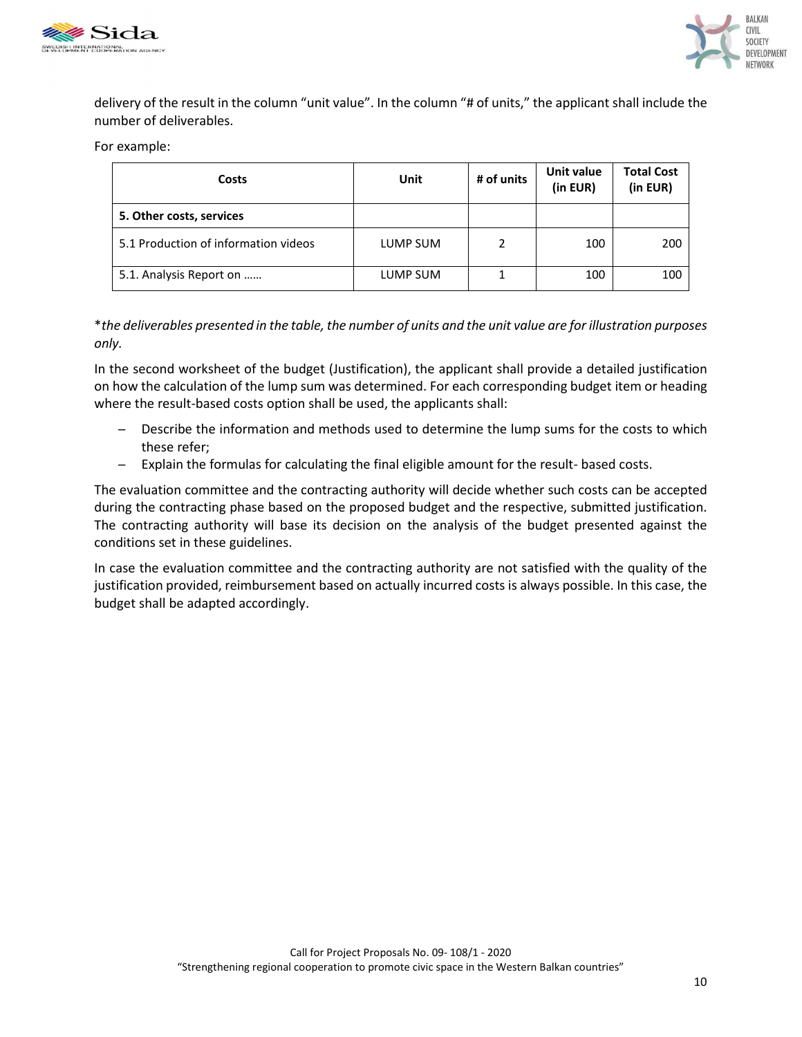



delivery of the result in the column "unit value". In the column "# of units," the applicant shall include the number of deliverables.

For example:

| Costs                                | Unit     | # of units | Unit value<br>(in EUR) | <b>Total Cost</b><br>(in EUR) |
|--------------------------------------|----------|------------|------------------------|-------------------------------|
| 5. Other costs, services             |          |            |                        |                               |
| 5.1 Production of information videos | LUMP SUM | 2          | 100                    | 200                           |
| 5.1. Analysis Report on              | LUMP SUM | ᅩ          | 100                    | 100                           |

\**the deliverables presented in the table, the number of units and the unit value are for illustration purposes only.*

In the second worksheet of the budget (Justification), the applicant shall provide a detailed justification on how the calculation of the lump sum was determined. For each corresponding budget item or heading where the result-based costs option shall be used, the applicants shall:

- − Describe the information and methods used to determine the lump sums for the costs to which these refer;
- − Explain the formulas for calculating the final eligible amount for the result- based costs.

The evaluation committee and the contracting authority will decide whether such costs can be accepted during the contracting phase based on the proposed budget and the respective, submitted justification. The contracting authority will base its decision on the analysis of the budget presented against the conditions set in these guidelines.

In case the evaluation committee and the contracting authority are not satisfied with the quality of the justification provided, reimbursement based on actually incurred costs is always possible. In this case, the budget shall be adapted accordingly.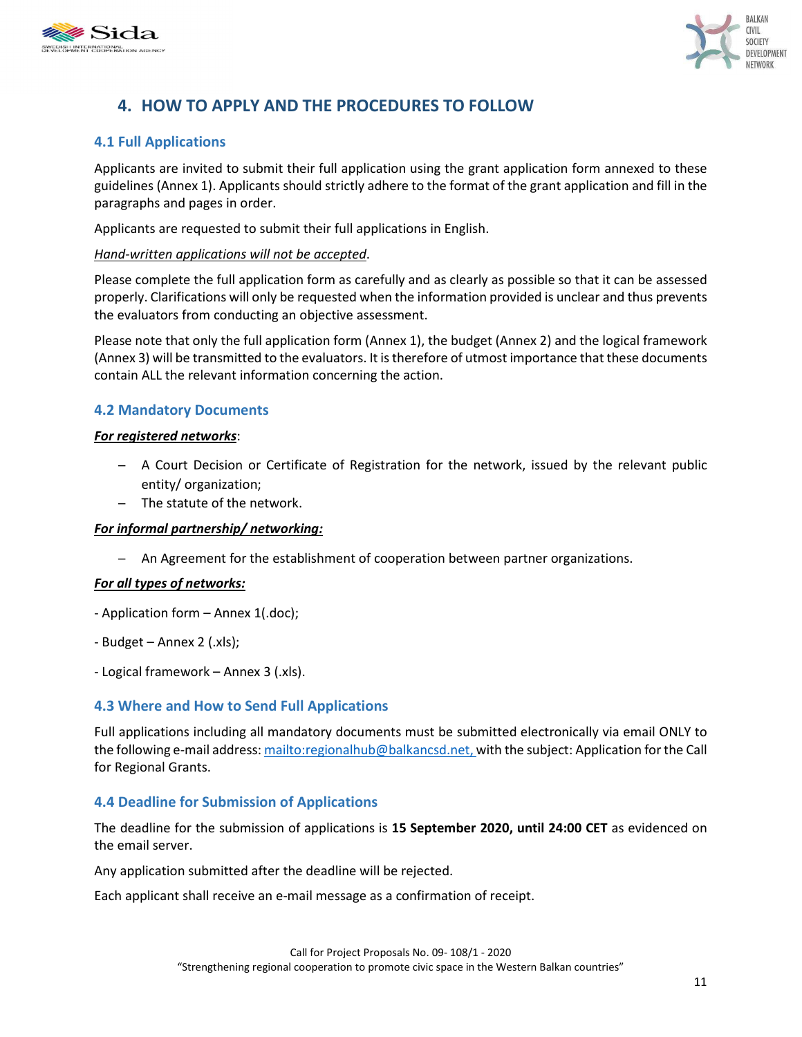



# **4. HOW TO APPLY AND THE PROCEDURES TO FOLLOW**

### **4.1 Full Applications**

Applicants are invited to submit their full application using the grant application form annexed to these guidelines (Annex 1). Applicants should strictly adhere to the format of the grant application and fill in the paragraphs and pages in order.

Applicants are requested to submit their full applications in English.

#### *Hand-written applications will not be accepted*.

Please complete the full application form as carefully and as clearly as possible so that it can be assessed properly. Clarifications will only be requested when the information provided is unclear and thus prevents the evaluators from conducting an objective assessment.

Please note that only the full application form (Annex 1), the budget (Annex 2) and the logical framework (Annex 3) will be transmitted to the evaluators. It is therefore of utmost importance that these documents contain ALL the relevant information concerning the action.

### **4.2 Mandatory Documents**

#### *For registered networks*:

- − A Court Decision or Certificate of Registration for the network, issued by the relevant public entity/ organization;
- − The statute of the network.

### *For informal partnership/ networking:*

− An Agreement for the establishment of cooperation between partner organizations.

#### *For all types of networks:*

- Application form Annex 1(.doc);
- Budget Annex 2 (.xls);
- Logical framework Annex 3 (.xls).

### **4.3 Where and How to Send Full Applications**

Full applications including all mandatory documents must be submitted electronically via email ONLY to the following e-mail address: mailto:regionalhub@balkancsd.net, with the subject: Application for the Call for Regional Grants.

### **4.4 Deadline for Submission of Applications**

The deadline for the submission of applications is **15 September 2020, until 24:00 CET** as evidenced on the email server.

Any application submitted after the deadline will be rejected.

Each applicant shall receive an e-mail message as a confirmation of receipt.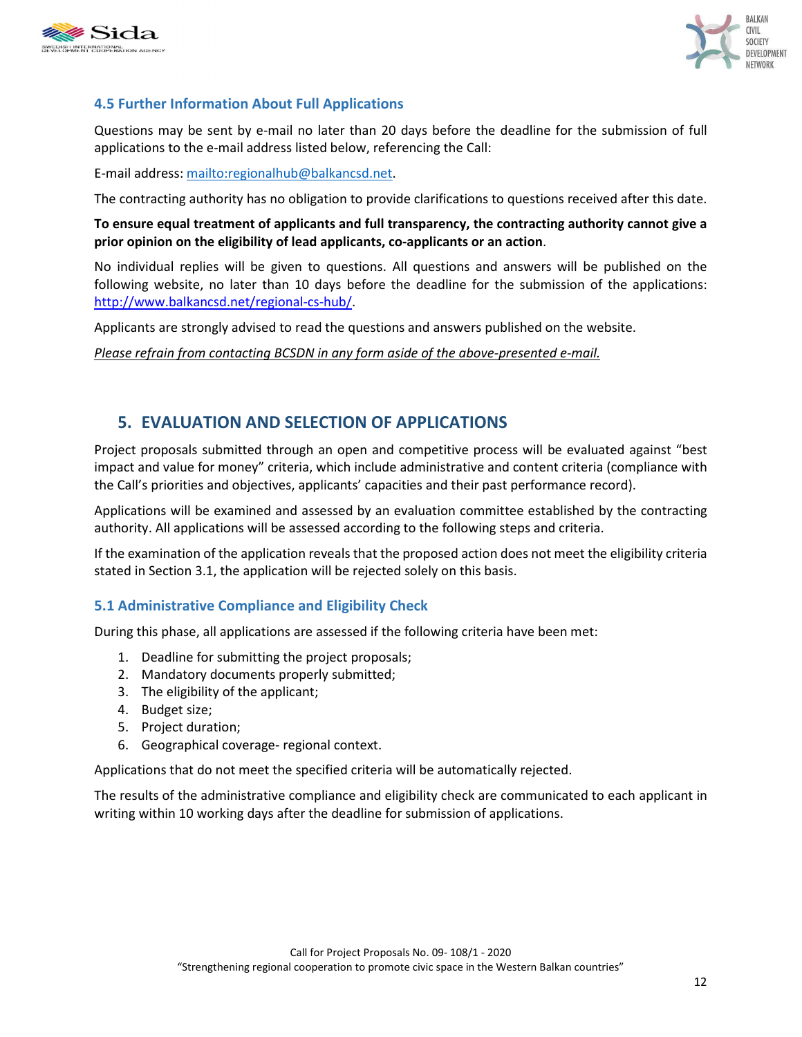



## **4.5 Further Information About Full Applications**

Questions may be sent by e-mail no later than 20 days before the deadline for the submission of full applications to the e-mail address listed below, referencing the Call:

E-mail address: mailto:regionalhub@balkancsd.net.

The contracting authority has no obligation to provide clarifications to questions received after this date.

**To ensure equal treatment of applicants and full transparency, the contracting authority cannot give a prior opinion on the eligibility of lead applicants, co-applicants or an action**.

No individual replies will be given to questions. All questions and answers will be published on the following website, no later than 10 days before the deadline for the submission of the applications: http://www.balkancsd.net/regional-cs-hub/.

Applicants are strongly advised to read the questions and answers published on the website.

*Please refrain from contacting BCSDN in any form aside of the above-presented e-mail.* 

# **5. EVALUATION AND SELECTION OF APPLICATIONS**

Project proposals submitted through an open and competitive process will be evaluated against "best impact and value for money" criteria, which include administrative and content criteria (compliance with the Call's priorities and objectives, applicants' capacities and their past performance record).

Applications will be examined and assessed by an evaluation committee established by the contracting authority. All applications will be assessed according to the following steps and criteria.

If the examination of the application reveals that the proposed action does not meet the eligibility criteria stated in Section 3.1, the application will be rejected solely on this basis.

### **5.1 Administrative Compliance and Eligibility Check**

During this phase, all applications are assessed if the following criteria have been met:

- 1. Deadline for submitting the project proposals;
- 2. Mandatory documents properly submitted;
- 3. The eligibility of the applicant;
- 4. Budget size;
- 5. Project duration;
- 6. Geographical coverage- regional context.

Applications that do not meet the specified criteria will be automatically rejected.

The results of the administrative compliance and eligibility check are communicated to each applicant in writing within 10 working days after the deadline for submission of applications.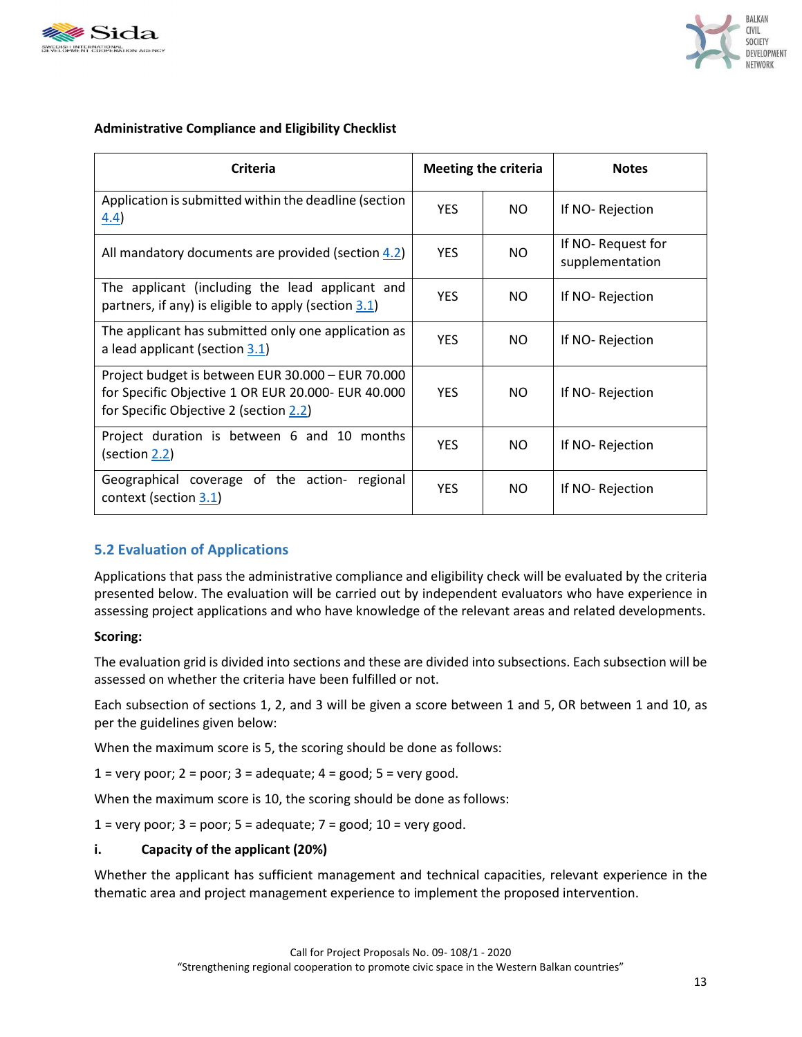



### **Administrative Compliance and Eligibility Checklist**

| <b>Criteria</b>                                                                                                                                   | <b>Meeting the criteria</b> |     | <b>Notes</b>                         |
|---------------------------------------------------------------------------------------------------------------------------------------------------|-----------------------------|-----|--------------------------------------|
| Application is submitted within the deadline (section<br>4.4)                                                                                     | <b>YES</b>                  | NO. | If NO-Rejection                      |
| All mandatory documents are provided (section 4.2)                                                                                                | <b>YES</b>                  | NO. | If NO-Request for<br>supplementation |
| The applicant (including the lead applicant and<br>partners, if any) is eligible to apply (section $3.1$ )                                        | <b>YES</b>                  | NO. | If NO-Rejection                      |
| The applicant has submitted only one application as<br>a lead applicant (section 3.1)                                                             | <b>YES</b>                  | NO. | If NO-Rejection                      |
| Project budget is between EUR 30.000 - EUR 70.000<br>for Specific Objective 1 OR EUR 20.000- EUR 40.000<br>for Specific Objective 2 (section 2.2) | <b>YES</b>                  | NO. | If NO-Rejection                      |
| Project duration is between 6 and 10 months<br>(section 2.2)                                                                                      | <b>YES</b>                  | NO. | If NO-Rejection                      |
| Geographical coverage of the action- regional<br>context (section 3.1)                                                                            | <b>YES</b>                  | NO. | If NO-Rejection                      |

### **5.2 Evaluation of Applications**

Applications that pass the administrative compliance and eligibility check will be evaluated by the criteria presented below. The evaluation will be carried out by independent evaluators who have experience in assessing project applications and who have knowledge of the relevant areas and related developments.

### **Scoring:**

The evaluation grid is divided into sections and these are divided into subsections. Each subsection will be assessed on whether the criteria have been fulfilled or not.

Each subsection of sections 1, 2, and 3 will be given a score between 1 and 5, OR between 1 and 10, as per the guidelines given below:

When the maximum score is 5, the scoring should be done as follows:

 $1 =$  very poor;  $2 =$  poor;  $3 =$  adequate;  $4 =$  good;  $5 =$  very good.

When the maximum score is 10, the scoring should be done as follows:

 $1 =$  very poor;  $3 =$  poor;  $5 =$  adequate;  $7 =$  good;  $10 =$  very good.

### **i. Capacity of the applicant (20%)**

Whether the applicant has sufficient management and technical capacities, relevant experience in the thematic area and project management experience to implement the proposed intervention.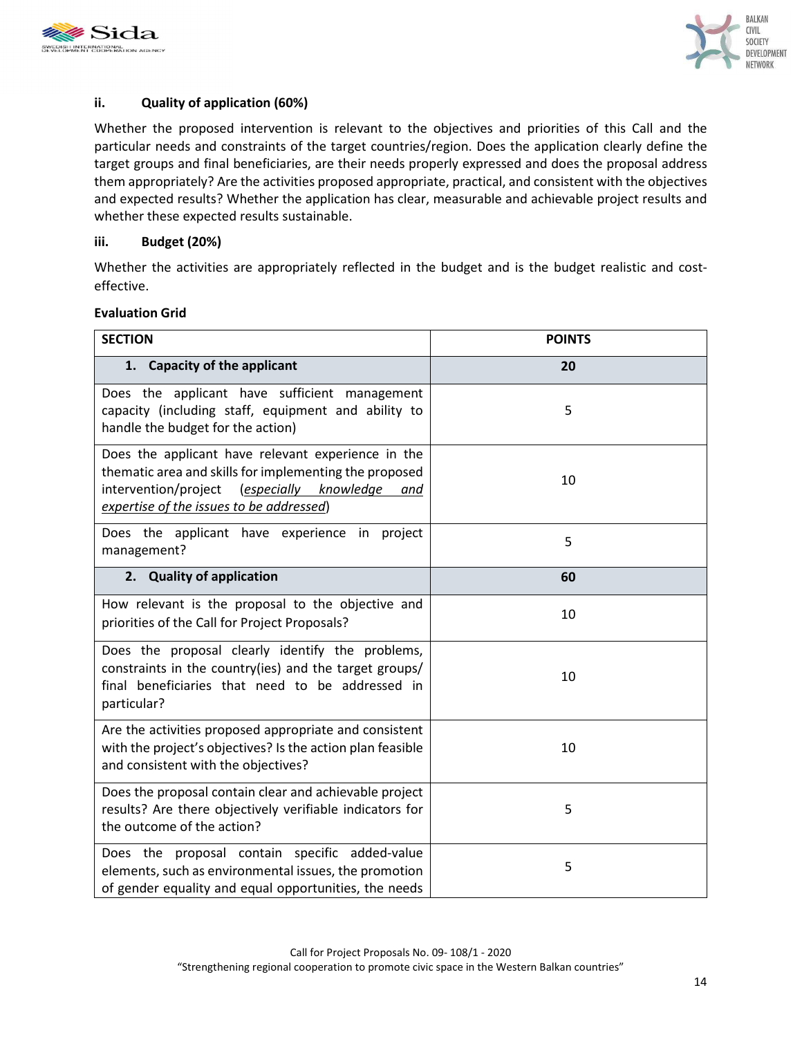



### **ii. Quality of application (60%)**

Whether the proposed intervention is relevant to the objectives and priorities of this Call and the particular needs and constraints of the target countries/region. Does the application clearly define the target groups and final beneficiaries, are their needs properly expressed and does the proposal address them appropriately? Are the activities proposed appropriate, practical, and consistent with the objectives and expected results? Whether the application has clear, measurable and achievable project results and whether these expected results sustainable.

### **iii. Budget (20%)**

Whether the activities are appropriately reflected in the budget and is the budget realistic and costeffective.

### **Evaluation Grid**

| <b>SECTION</b>                                                                                                                                                                                                   | <b>POINTS</b> |
|------------------------------------------------------------------------------------------------------------------------------------------------------------------------------------------------------------------|---------------|
| 1. Capacity of the applicant                                                                                                                                                                                     | 20            |
| Does the applicant have sufficient management<br>capacity (including staff, equipment and ability to<br>handle the budget for the action)                                                                        | 5             |
| Does the applicant have relevant experience in the<br>thematic area and skills for implementing the proposed<br>intervention/project<br>(especially knowledge<br>and<br>expertise of the issues to be addressed) | 10            |
| Does the applicant have experience in project<br>management?                                                                                                                                                     | 5             |
| 2. Quality of application                                                                                                                                                                                        | 60            |
| How relevant is the proposal to the objective and<br>priorities of the Call for Project Proposals?                                                                                                               | 10            |
| Does the proposal clearly identify the problems,<br>constraints in the country(ies) and the target groups/<br>final beneficiaries that need to be addressed in<br>particular?                                    | 10            |
| Are the activities proposed appropriate and consistent<br>with the project's objectives? Is the action plan feasible<br>and consistent with the objectives?                                                      | 10            |
| Does the proposal contain clear and achievable project<br>results? Are there objectively verifiable indicators for<br>the outcome of the action?                                                                 | 5             |
| Does the proposal contain specific added-value<br>elements, such as environmental issues, the promotion<br>of gender equality and equal opportunities, the needs                                                 | 5             |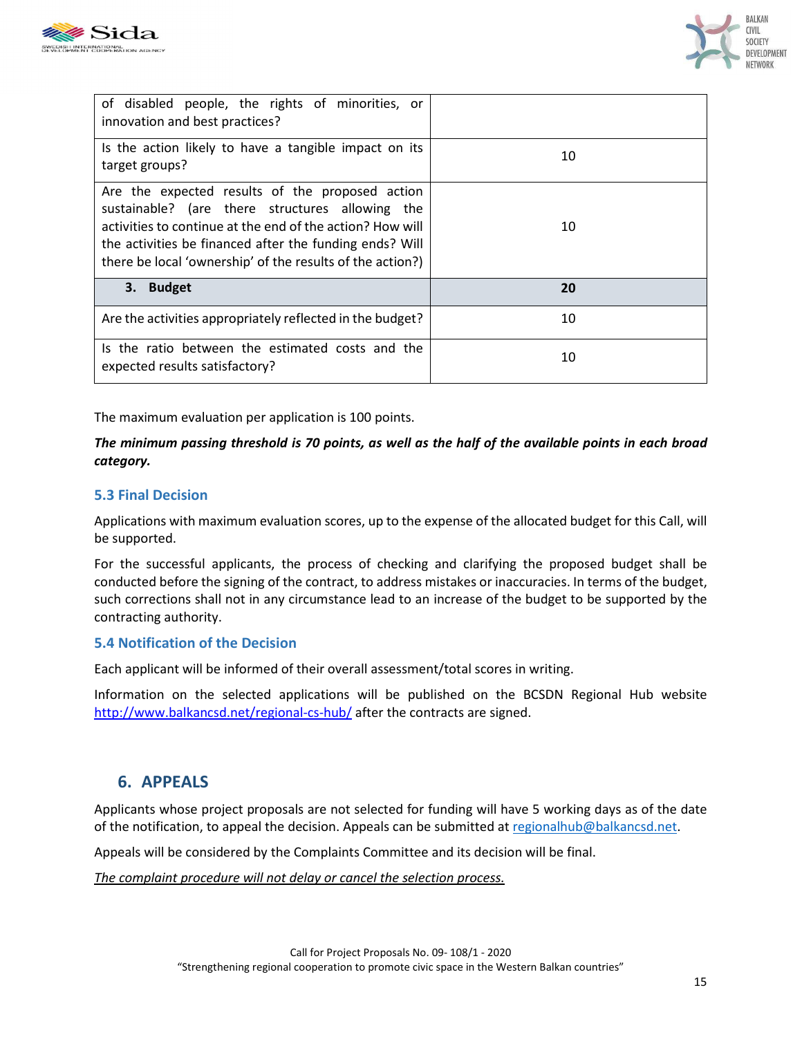



| of disabled people, the rights of minorities, or<br>innovation and best practices?                                                                                                                                                                                                      |    |
|-----------------------------------------------------------------------------------------------------------------------------------------------------------------------------------------------------------------------------------------------------------------------------------------|----|
| Is the action likely to have a tangible impact on its<br>target groups?                                                                                                                                                                                                                 | 10 |
| Are the expected results of the proposed action<br>sustainable? (are there structures allowing the<br>activities to continue at the end of the action? How will<br>the activities be financed after the funding ends? Will<br>there be local 'ownership' of the results of the action?) | 10 |
| 3. Budget                                                                                                                                                                                                                                                                               | 20 |
| Are the activities appropriately reflected in the budget?                                                                                                                                                                                                                               | 10 |
| Is the ratio between the estimated costs and the<br>expected results satisfactory?                                                                                                                                                                                                      | 10 |

The maximum evaluation per application is 100 points.

### *The minimum passing threshold is 70 points, as well as the half of the available points in each broad category.*

### **5.3 Final Decision**

Applications with maximum evaluation scores, up to the expense of the allocated budget for this Call, will be supported.

For the successful applicants, the process of checking and clarifying the proposed budget shall be conducted before the signing of the contract, to address mistakes or inaccuracies. In terms of the budget, such corrections shall not in any circumstance lead to an increase of the budget to be supported by the contracting authority.

### **5.4 Notification of the Decision**

Each applicant will be informed of their overall assessment/total scores in writing.

Information on the selected applications will be published on the BCSDN Regional Hub website http://www.balkancsd.net/regional-cs-hub/ after the contracts are signed.

# **6. APPEALS**

Applicants whose project proposals are not selected for funding will have 5 working days as of the date of the notification, to appeal the decision. Appeals can be submitted at regionalhub@balkancsd.net.

Appeals will be considered by the Complaints Committee and its decision will be final.

*The complaint procedure will not delay or cancel the selection process.*